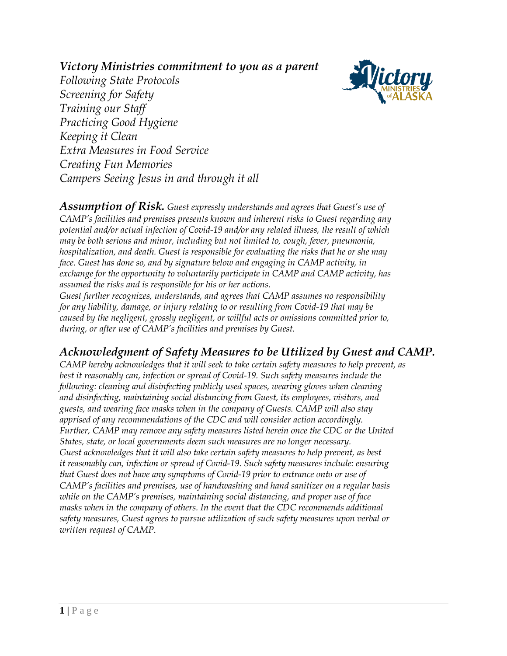*Victory Ministries commitment to you as a parent*



*Following State Protocols Screening for Safety Training our Staff Practicing Good Hygiene Keeping it Clean Extra Measures in Food Service Creating Fun Memories Campers Seeing Jesus in and through it all*

*Assumption of Risk. Guest expressly understands and agrees that Guest's use of CAMP's facilities and premises presents known and inherent risks to Guest regarding any potential and/or actual infection of Covid-19 and/or any related illness, the result of which may be both serious and minor, including but not limited to, cough, fever, pneumonia, hospitalization, and death. Guest is responsible for evaluating the risks that he or she may face. Guest has done so, and by signature below and engaging in CAMP activity, in exchange for the opportunity to voluntarily participate in CAMP and CAMP activity, has assumed the risks and is responsible for his or her actions. Guest further recognizes, understands, and agrees that CAMP assumes no responsibility*

*for any liability, damage, or injury relating to or resulting from Covid-19 that may be caused by the negligent, grossly negligent, or willful acts or omissions committed prior to, during, or after use of CAMP's facilities and premises by Guest.*

## *Acknowledgment of Safety Measures to be Utilized by Guest and CAMP.*

*CAMP hereby acknowledges that it will seek to take certain safety measures to help prevent, as best it reasonably can, infection or spread of Covid-19. Such safety measures include the following: cleaning and disinfecting publicly used spaces, wearing gloves when cleaning and disinfecting, maintaining social distancing from Guest, its employees, visitors, and guests, and wearing face masks when in the company of Guests. CAMP will also stay apprised of any recommendations of the CDC and will consider action accordingly. Further, CAMP may remove any safety measures listed herein once the CDC or the United States, state, or local governments deem such measures are no longer necessary. Guest acknowledges that it will also take certain safety measures to help prevent, as best it reasonably can, infection or spread of Covid-19. Such safety measures include: ensuring that Guest does not have any symptoms of Covid-19 prior to entrance onto or use of CAMP's facilities and premises, use of handwashing and hand sanitizer on a regular basis while on the CAMP's premises, maintaining social distancing, and proper use of face masks when in the company of others. In the event that the CDC recommends additional safety measures, Guest agrees to pursue utilization of such safety measures upon verbal or written request of CAMP*.